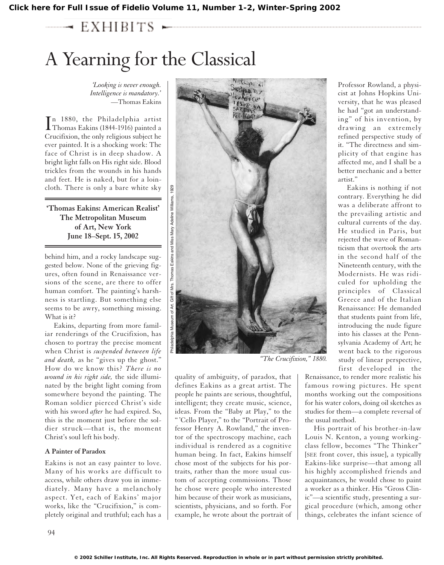**[Click here for Full Issue of Fidelio Volume 11, Number 1-2, Winter-Spring 2002](http://schillerinstitute.org/fidelio_archive/2002/fidv11n01-02-2002WiSp/index.html)**

# $\rightarrow$  EXHIBITS  $\sim$

# A Yearning for the Classical

*'Looking is never enough. Intelligence is mandatory.'* —Thomas Eakins

In 1880, the Philadelphia artist<br>Thomas Eakins (1844-1916) painted a n 1880, the Philadelphia artist Crucifixion, the only religious subject he ever painted. It is a shocking work: The face of Christ is in deep shadow. A bright light falls on His right side. Blood trickles from the wounds in his hands and feet. He is naked, but for a loincloth. There is only a bare white sky

# **'Thomas Eakins: American Realist' The Metropolitan Museum of Art, New York June 18–Sept. 15, 2002**

behind him, and a rocky landscape suggested below. None of the grieving figures, often found in Renaissance versions of the scene, are there to offer human comfort. The painting's harshness is startling. But something else seems to be awry, something missing. What is it?

Eakins, departing from more familiar renderings of the Crucifixion, has chosen to portray the precise moment when Christ is *suspended between life and death,* as he "gives up the ghost." How do we know this? *There is no wound in his right side,* the side illuminated by the bright light coming from somewhere beyond the painting. The Roman soldier pierced Christ's side with his sword *after* he had expired. So, this is the moment just before the soldier struck—that is, the moment Christ's soul left his body.

## **A Painter of Paradox**

Eakins is not an easy painter to love. Many of his works are difficult to access, while others draw you in immediately. Many have a melancholy aspect. Yet, each of Eakins' major works, like the "Crucifixion," is completely original and truthful; each has a



quality of ambiguity, of paradox, that defines Eakins as a great artist. The people he paints are serious, thoughtful, intelligent; they create music, science, ideas. From the "Baby at Play," to the " 'Cello Player," to the "Portrait of Professor Henry A. Rowland," the inventor of the spectroscopy machine, each individual is rendered as a cognitive human being. In fact, Eakins himself chose most of the subjects for his portraits, rather than the more usual custom of accepting commissions. Those he chose were people who interested him because of their work as musicians, scientists, physicians, and so forth. For example, he wrote about the portrait of Professor Rowland, a physicist at Johns Hopkins University, that he was pleased he had "got an understanding" of his invention, by drawing an extremely refined perspective study of it. "The directness and simplicity of that engine has affected me, and I shall be a better mechanic and a better artist."

Eakins is nothing if not contrary. Everything he did was a deliberate affront to the prevailing artistic and cultural currents of the day. He studied in Paris, but rejected the wave of Romanticism that overtook the arts in the second half of the Nineteenth century, with the Modernists. He was ridiculed for upholding the principles of Classical Greece and of the Italian Renaissance: He demanded that students paint from life, introducing the nude figure into his classes at the Pennsylvania Academy of Art; he went back to the rigorous study of linear perspective, first developed in the

Renaissance, to render more realistic his famous rowing pictures. He spent months working out the compositions for his water colors, doing oil sketches as studies for them—a complete reversal of the usual method.

His portrait of his brother-in-law Louis N. Kenton, a young workingclass fellow, becomes "The Thinker" [SEE front cover, this issue], a typically Eakins-like surprise—that among all his highly accomplished friends and acquaintances, he would chose to paint a worker as a thinker. His "Gross Clinic"—a scientific study, presenting a surgical procedure (which, among other things, celebrates the infant science of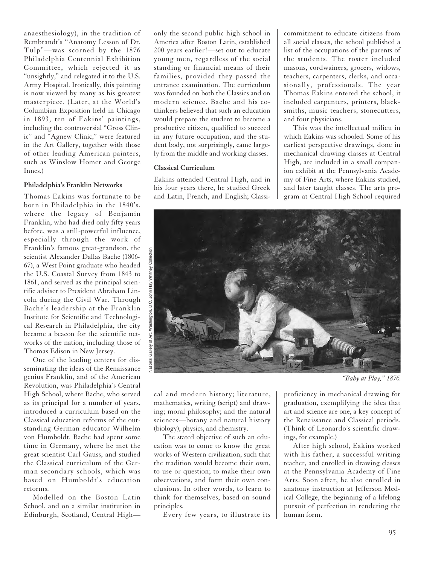anaesthesiology), in the tradition of Rembrandt's "Anatomy Lesson of Dr. Tulp"—was scorned by the 1876 Philadelphia Centennial Exhibition Committee, which rejected it as "unsightly," and relegated it to the U.S. Army Hospital. Ironically, this painting is now viewed by many as his greatest masterpiece. (Later, at the World's Columbian Exposition held in Chicago in 1893, ten of Eakins' paintings, including the controversial "Gross Clinic" and "Agnew Clinic," were featured in the Art Gallery, together with those of other leading American painters, such as Winslow Homer and George Innes.)

#### **Philadelphia's Franklin Networks**

Thomas Eakins was fortunate to be born in Philadelphia in the 1840's, where the legacy of Benjamin Franklin, who had died only fifty years before, was a still-powerful influence, especially through the work of Franklin's famous great-grandson, the scientist Alexander Dallas Bache (1806- 67), a West Point graduate who headed the U.S. Coastal Survey from 1843 to 1861, and served as the principal scientific adviser to President Abraham Lincoln during the Civil War. Through Bache's leadership at the Franklin Institute for Scientific and Technological Research in Philadelphia, the city became a beacon for the scientific networks of the nation, including those of Thomas Edison in New Jersey.

One of the leading centers for disseminating the ideas of the Renaissance genius Franklin, and of the American Revolution, was Philadelphia's Central High School, where Bache, who served as its principal for a number of years, introduced a curriculum based on the Classical education reforms of the outstanding German educator Wilhelm von Humboldt. Bache had spent some time in Germany, where he met the great scientist Carl Gauss, and studied the Classical curriculum of the German secondary schools, which was based on Humboldt's education reforms.

Modelled on the Boston Latin School, and on a similar institution in Edinburgh, Scotland, Central Highonly the second public high school in America after Boston Latin, established 200 years earlier!—set out to educate young men, regardless of the social standing or financial means of their families, provided they passed the entrance examination. The curriculum was founded on both the Classics and on modern science. Bache and his cothinkers believed that such an education would prepare the student to become a productive citizen, qualified to succeed in any future occupation, and the student body, not surprisingly, came largely from the middle and working classes.

## **Classical Curriculum**

Eakins attended Central High, and in his four years there, he studied Greek and Latin, French, and English; Classicommitment to educate citizens from all social classes, the school published a list of the occupations of the parents of the students. The roster included masons, cordwainers, grocers, widows, teachers, carpenters, clerks, and occasionally, professionals. The year Thomas Eakins entered the school, it included carpenters, printers, blacksmiths, music teachers, stonecutters, and four physicians.

This was the intellectual milieu in which Eakins was schooled. Some of his earliest perspective drawings, done in mechanical drawing classes at Central High, are included in a small companion exhibit at the Pennsylvania Academy of Fine Arts, where Eakins studied, and later taught classes. The arts program at Central High School required



*"Baby at Play," 1876.*

cal and modern history; literature, mathematics, writing (script) and drawing; moral philosophy; and the natural sciences—botany and natural history (biology), physics, and chemistry.

The stated objective of such an education was to come to know the great works of Western civilization, such that the tradition would become their own, to use or question; to make their own observations, and form their own conclusions. In other words, to learn to think for themselves, based on sound principles.

Every few years, to illustrate its

proficiency in mechanical drawing for graduation, exemplifying the idea that art and science are one, a key concept of the Renaissance and Classical periods. (Think of Leonardo's scientific drawings, for example.)

After high school, Eakins worked with his father, a successful writing teacher, and enrolled in drawing classes at the Pennsylvania Academy of Fine Arts. Soon after, he also enrolled in anatomy instruction at Jefferson Medical College, the beginning of a lifelong pursuit of perfection in rendering the human form.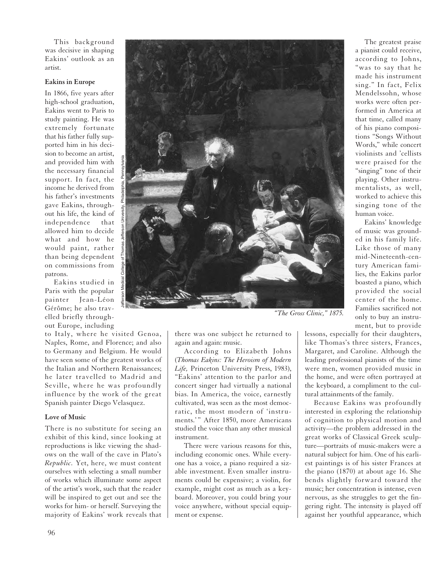This background was decisive in shaping Eakins' outlook as an artist.

#### **Eakins in Europe**

In 1866, five years after high-school graduation, Eakins went to Paris to study painting. He was extremely fortunate that his father fully supported him in his decision to become an artist, and provided him with the necessary financial support. In fact, the income he derived from his father's investments gave Eakins, throughout his life, the kind of independence that allowed him to decide what and how he would paint, rather than being dependent on commissions from patrons.

Eakins studied in Paris with the popular painter Jean-Léon Gérôme; he also travelled briefly throughout Europe, including

to Italy, where he visited Genoa, Naples, Rome, and Florence; and also to Germany and Belgium. He would have seen some of the greatest works of the Italian and Northern Renaissances; he later travelled to Madrid and Seville, where he was profoundly influence by the work of the great Spanish painter Diego Velasquez.

#### **Love of Music**

There is no substitute for seeing an exhibit of this kind, since looking at reproductions is like viewing the shadows on the wall of the cave in Plato's *Republic.* Yet, here, we must content ourselves with selecting a small number of works which illuminate some aspect of the artist's work, such that the reader will be inspired to get out and see the works for him- or herself. Surveying the majority of Eakins' work reveals that



*"The Gross Clinic," 1875.*

there was one subject he returned to again and again: music.

According to Elizabeth Johns (*Thomas Eakins: The Heroism of Modern Life,* Princeton University Press, 1983), "Eakins' attention to the parlor and concert singer had virtually a national bias. In America, the voice, earnestly cultivated, was seen as the most democratic, the most modern of 'instruments.'" After 1850, more Americans studied the voice than any other musical instrument.

There were various reasons for this, including economic ones. While everyone has a voice, a piano required a sizable investment. Even smaller instruments could be expensive; a violin, for example, might cost as much as a keyboard. Moreover, you could bring your voice anywhere, without special equipment or expense.

lessons, especially for their daughters, like Thomas's three sisters, Frances, Margaret, and Caroline. Although the leading professional pianists of the time were men, women provided music in the home, and were often portrayed at the keyboard, a compliment to the cultural attainments of the family.

Because Eakins was profoundly interested in exploring the relationship of cognition to physical motion and activity—the problem addressed in the great works of Classical Greek sculpture—portraits of music-makers were a natural subject for him. One of his earliest paintings is of his sister Frances at the piano (1870) at about age 16. She bends slightly forward toward the music; her concentration is intense, even nervous, as she struggles to get the fingering right. The intensity is played off against her youthful appearance, which

The greatest praise a pianist could receive, according to Johns, "was to say that he made his instrument sing." In fact, Felix Mendelssohn, whose works were often performed in America at that time, called many of his piano compositions "Songs Without Words," while concert violinists and 'cellists were praised for the "singing" tone of their playing. Other instrumentalists, as well, worked to achieve this singing tone of the human voice.

Eakins' knowledge of music was grounded in his family life. Like those of many mid-Nineteenth-century American families, the Eakins parlor boasted a piano, which provided the social center of the home. Families sacrificed not only to buy an instrument, but to provide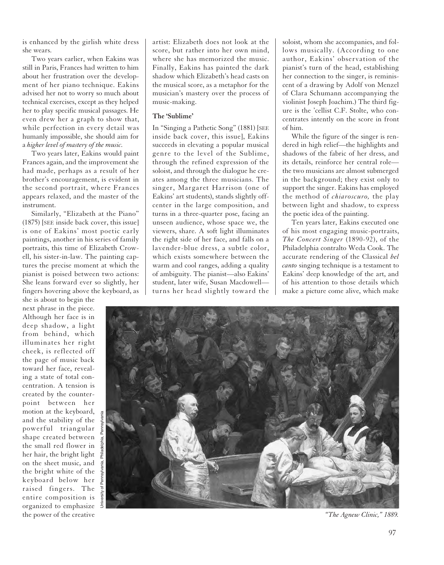is enhanced by the girlish white dress she wears.

Two years earlier, when Eakins was still in Paris, Frances had written to him about her frustration over the development of her piano technique. Eakins advised her not to worry so much about technical exercises, except as they helped her to play specific musical passages. He even drew her a graph to show that, while perfection in every detail was humanly impossible, she should aim for a *higher level of mastery of the music.*

Two years later, Eakins would paint Frances again, and the improvement she had made, perhaps as a result of her brother's encouragement, is evident in the second portrait, where Frances appears relaxed, and the master of the instrument.

Similarly, "Elizabeth at the Piano" (1875) [SEE inside back cover, this issue] is one of Eakins' most poetic early paintings, another in his series of family portraits, this time of Elizabeth Crowell, his sister-in-law. The painting captures the precise moment at which the pianist is poised between two actions: She leans forward ever so slightly, her fingers hovering above the keyboard, as

she is about to begin the next phrase in the piece. Although her face is in deep shadow, a light from behind, which illuminates her right cheek, is reflected off the page of music back toward her face, revealing a state of total concentration. A tension is created by the counterpoint between her motion at the keyboard, and the stability of the powerful triangular shape created between the small red flower in her hair, the bright light on the sheet music, and the bright white of the keyboard below her raised fingers. The entire composition is organized to emphasize the power of the creative

University of Pennsylvania, Philadelphia, Pennsylvania

artist: Elizabeth does not look at the score, but rather into her own mind, where she has memorized the music. Finally, Eakins has painted the dark shadow which Elizabeth's head casts on the musical score, as a metaphor for the musician's mastery over the process of music-making.

# **The 'Sublime'**

In "Singing a Pathetic Song" (1881) [SEE inside back cover, this issue], Eakins succeeds in elevating a popular musical genre to the level of the Sublime, through the refined expression of the soloist, and through the dialogue he creates among the three musicians. The singer, Margaret Harrison (one of Eakins' art students), stands slightly offcenter in the large composition, and turns in a three-quarter pose, facing an unseen audience, whose space we, the viewers, share. A soft light illuminates the right side of her face, and falls on a lavender-blue dress, a subtle color, which exists somewhere between the warm and cool ranges, adding a quality of ambiguity. The pianist—also Eakins' student, later wife, Susan Macdowell turns her head slightly toward the

soloist, whom she accompanies, and follows musically. (According to one author, Eakins' observation of the pianist's turn of the head, establishing her connection to the singer, is reminiscent of a drawing by Adolf von Menzel of Clara Schumann accompanying the violinist Joseph Joachim.) The third figure is the 'cellist C.F. Stolte, who concentrates intently on the score in front of him.

While the figure of the singer is rendered in high relief—the highlights and shadows of the fabric of her dress, and its details, reinforce her central role the two musicians are almost submerged in the background; they exist only to support the singer. Eakins has employed the method of *chiaroscuro,* the play between light and shadow, to express the poetic idea of the painting.

Ten years later, Eakins executed one of his most engaging music-portraits, *The Concert Singer* (1890-92), of the Philadelphia contralto Weda Cook. The accurate rendering of the Classical *bel canto* singing technique is a testament to Eakins' deep knowledge of the art, and of his attention to those details which make a picture come alive, which make



*"The Agnew Clinic," 1889.*